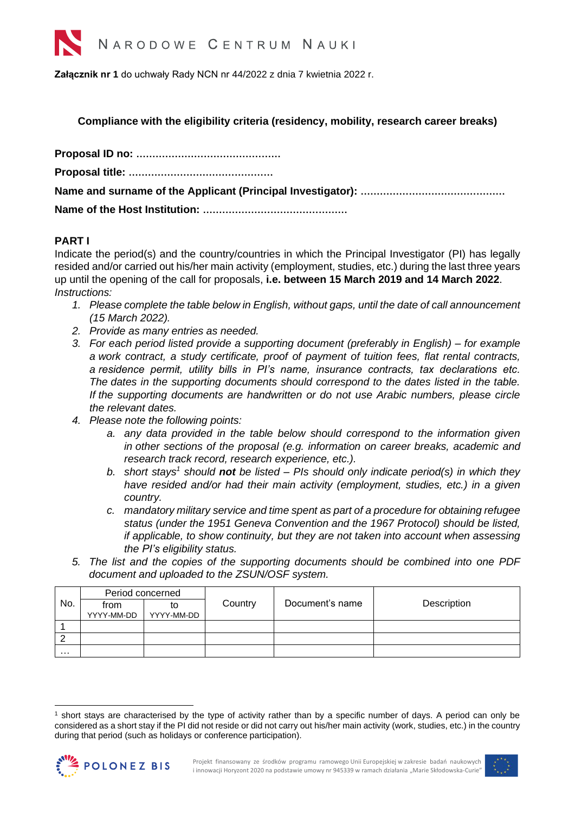

**Załącznik nr 1** do uchwały Rady NCN nr 44/2022 z dnia 7 kwietnia 2022 r.

**Compliance with the eligibility criteria (residency, mobility, research career breaks)**

## **PART I**

Indicate the period(s) and the country/countries in which the Principal Investigator (PI) has legally resided and/or carried out his/her main activity (employment, studies, etc.) during the last three years up until the opening of the call for proposals, **i.e. between 15 March 2019 and 14 March 2022**. *Instructions:*

- *1. Please complete the table below in English, without gaps, until the date of call announcement (15 March 2022).*
- *2. Provide as many entries as needed.*
- *3. For each period listed provide a supporting document (preferably in English) – for example a work contract, a study certificate, proof of payment of tuition fees, flat rental contracts, a residence permit, utility bills in PI's name, insurance contracts, tax declarations etc. The dates in the supporting documents should correspond to the dates listed in the table. If the supporting documents are handwritten or do not use Arabic numbers, please circle the relevant dates.*
- *4. Please note the following points:*
	- *a. any data provided in the table below should correspond to the information given in other sections of the proposal (e.g. information on career breaks, academic and research track record, research experience, etc.).*
	- *b.* short stays<sup>1</sup> should **not** be listed PIs should only indicate period(s) in which they *have resided and/or had their main activity (employment, studies, etc.) in a given country.*
	- *c. mandatory military service and time spent as part of a procedure for obtaining refugee status (under the 1951 Geneva Convention and the 1967 Protocol) should be listed, if applicable, to show continuity, but they are not taken into account when assessing the PI's eligibility status.*
- *5. The list and the copies of the supporting documents should be combined into one PDF document and uploaded to the ZSUN/OSF system.*

|     | Period concerned |            |         |                 |             |
|-----|------------------|------------|---------|-----------------|-------------|
| No. | trom             | to         | Country | Document's name | Description |
|     | YYYY-MM-DD       | YYYY-MM-DD |         |                 |             |
|     |                  |            |         |                 |             |
|     |                  |            |         |                 |             |
| .   |                  |            |         |                 |             |

<sup>1</sup> short stays are characterised by the type of activity rather than by a specific number of days. A period can only be considered as a short stay if the PI did not reside or did not carry out his/her main activity (work, studies, etc.) in the country during that period (such as holidays or conference participation).